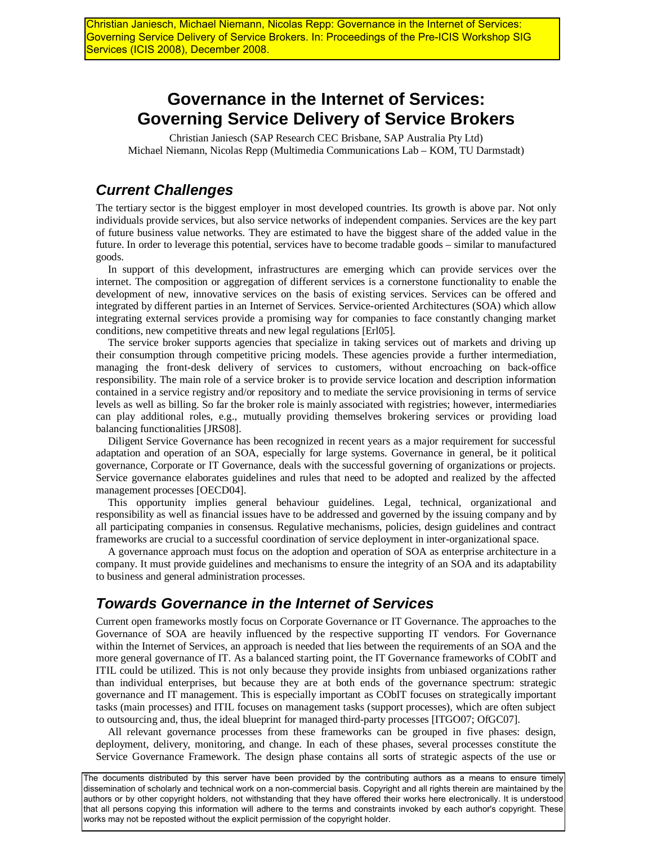Christian Janiesch, Michael Niemann, Nicolas Repp: Governance in the Internet of Services: Governing Service Delivery of Service Brokers. In: Proceedings of the Pre-ICIS Workshop SIG Services (ICIS 2008), December 2008.

## **Governance in the Internet of Services: Governing Service Delivery of Service Brokers**

Christian Janiesch (SAP Research CEC Brisbane, SAP Australia Pty Ltd) Michael Niemann, Nicolas Repp (Multimedia Communications Lab – KOM, TU Darmstadt)

## *Current Challenges*

The tertiary sector is the biggest employer in most developed countries. Its growth is above par. Not only individuals provide services, but also service networks of independent companies. Services are the key part of future business value networks. They are estimated to have the biggest share of the added value in the future. In order to leverage this potential, services have to become tradable goods – similar to manufactured goods.

In support of this development, infrastructures are emerging which can provide services over the internet. The composition or aggregation of different services is a cornerstone functionality to enable the development of new, innovative services on the basis of existing services. Services can be offered and integrated by different parties in an Internet of Services. Service-oriented Architectures (SOA) which allow integrating external services provide a promising way for companies to face constantly changing market conditions, new competitive threats and new legal regulations [Erl05].

The service broker supports agencies that specialize in taking services out of markets and driving up their consumption through competitive pricing models. These agencies provide a further intermediation, managing the front-desk delivery of services to customers, without encroaching on back-office responsibility. The main role of a service broker is to provide service location and description information contained in a service registry and/or repository and to mediate the service provisioning in terms of service levels as well as billing. So far the broker role is mainly associated with registries; however, intermediaries can play additional roles, e.g., mutually providing themselves brokering services or providing load balancing functionalities [JRS08].

Diligent Service Governance has been recognized in recent years as a major requirement for successful adaptation and operation of an SOA, especially for large systems. Governance in general, be it political governance, Corporate or IT Governance, deals with the successful governing of organizations or projects. Service governance elaborates guidelines and rules that need to be adopted and realized by the affected management processes [OECD04].

This opportunity implies general behaviour guidelines. Legal, technical, organizational and responsibility as well as financial issues have to be addressed and governed by the issuing company and by all participating companies in consensus. Regulative mechanisms, policies, design guidelines and contract frameworks are crucial to a successful coordination of service deployment in inter-organizational space.

A governance approach must focus on the adoption and operation of SOA as enterprise architecture in a company. It must provide guidelines and mechanisms to ensure the integrity of an SOA and its adaptability to business and general administration processes.

## *Towards Governance in the Internet of Services*

Current open frameworks mostly focus on Corporate Governance or IT Governance. The approaches to the Governance of SOA are heavily influenced by the respective supporting IT vendors. For Governance within the Internet of Services, an approach is needed that lies between the requirements of an SOA and the more general governance of IT. As a balanced starting point, the IT Governance frameworks of CObIT and ITIL could be utilized. This is not only because they provide insights from unbiased organizations rather than individual enterprises, but because they are at both ends of the governance spectrum: strategic governance and IT management. This is especially important as CObIT focuses on strategically important tasks (main processes) and ITIL focuses on management tasks (support processes), which are often subject to outsourcing and, thus, the ideal blueprint for managed third-party processes [ITGO07; OfGC07].

All relevant governance processes from these frameworks can be grouped in five phases: design, deployment, delivery, monitoring, and change. In each of these phases, several processes constitute the Service Governance Framework. The design phase contains all sorts of strategic aspects of the use or

The documents distributed by this server have been provided by the contributing authors as a means to ensure timely dissemination of scholarly and technical work on a non-commercial basis. Copyright and all rights therein are maintained by the authors or by other copyright holders, not withstanding that they have offered their works here electronically. It is understood that all persons copying this information will adhere to the terms and constraints invoked by each author's copyright. These works may not be reposted without the explicit permission of the copyright holder.